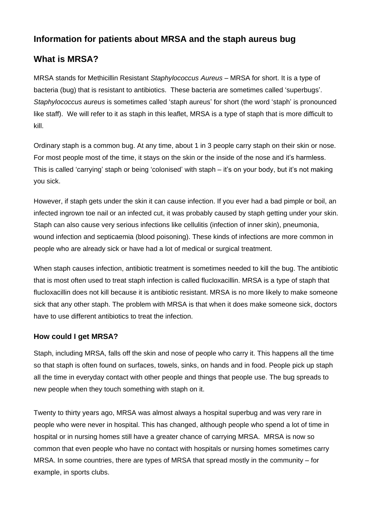# **Information for patients about MRSA and the staph aureus bug**

# **What is MRSA?**

MRSA stands for Methicillin Resistant *Staphylococcus Aureus* – MRSA for short. It is a type of bacteria (bug) that is resistant to antibiotics. These bacteria are sometimes called 'superbugs'. *Staphylococcus aureus* is sometimes called 'staph aureus' for short (the word 'staph' is pronounced like staff). We will refer to it as staph in this leaflet, MRSA is a type of staph that is more difficult to kill.

Ordinary staph is a common bug. At any time, about 1 in 3 people carry staph on their skin or nose. For most people most of the time, it stays on the skin or the inside of the nose and it's harmless. This is called 'carrying' staph or being 'colonised' with staph – it's on your body, but it's not making you sick.

However, if staph gets under the skin it can cause infection. If you ever had a bad pimple or boil, an infected ingrown toe nail or an infected cut, it was probably caused by staph getting under your skin. Staph can also cause very serious infections like cellulitis (infection of inner skin), pneumonia, wound infection and septicaemia (blood poisoning). These kinds of infections are more common in people who are already sick or have had a lot of medical or surgical treatment.

When staph causes infection, antibiotic treatment is sometimes needed to kill the bug. The antibiotic that is most often used to treat staph infection is called flucloxacillin. MRSA is a type of staph that flucloxacillin does not kill because it is antibiotic resistant. MRSA is no more likely to make someone sick that any other staph. The problem with MRSA is that when it does make someone sick, doctors have to use different antibiotics to treat the infection.

#### **How could I get MRSA?**

Staph, including MRSA, falls off the skin and nose of people who carry it. This happens all the time so that staph is often found on surfaces, towels, sinks, on hands and in food. People pick up staph all the time in everyday contact with other people and things that people use. The bug spreads to new people when they touch something with staph on it.

Twenty to thirty years ago, MRSA was almost always a hospital superbug and was very rare in people who were never in hospital. This has changed, although people who spend a lot of time in hospital or in nursing homes still have a greater chance of carrying MRSA. MRSA is now so common that even people who have no contact with hospitals or nursing homes sometimes carry MRSA. In some countries, there are types of MRSA that spread mostly in the community – for example, in sports clubs.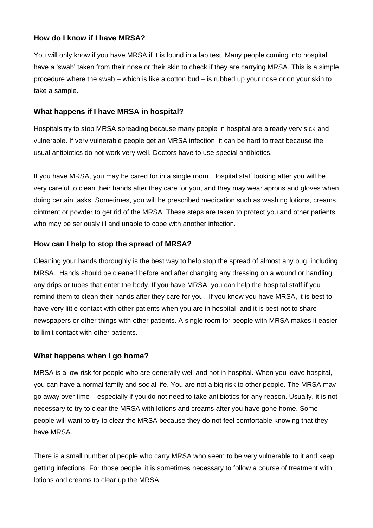#### **How do I know if I have MRSA?**

You will only know if you have MRSA if it is found in a lab test. Many people coming into hospital have a 'swab' taken from their nose or their skin to check if they are carrying MRSA. This is a simple procedure where the swab – which is like a cotton bud – is rubbed up your nose or on your skin to take a sample.

### **What happens if I have MRSA in hospital?**

Hospitals try to stop MRSA spreading because many people in hospital are already very sick and vulnerable. If very vulnerable people get an MRSA infection, it can be hard to treat because the usual antibiotics do not work very well. Doctors have to use special antibiotics.

If you have MRSA, you may be cared for in a single room. Hospital staff looking after you will be very careful to clean their hands after they care for you, and they may wear aprons and gloves when doing certain tasks. Sometimes, you will be prescribed medication such as washing lotions, creams, ointment or powder to get rid of the MRSA. These steps are taken to protect you and other patients who may be seriously ill and unable to cope with another infection.

### **How can I help to stop the spread of MRSA?**

Cleaning your hands thoroughly is the best way to help stop the spread of almost any bug, including MRSA. Hands should be cleaned before and after changing any dressing on a wound or handling any drips or tubes that enter the body. If you have MRSA, you can help the hospital staff if you remind them to clean their hands after they care for you. If you know you have MRSA, it is best to have very little contact with other patients when you are in hospital, and it is best not to share newspapers or other things with other patients. A single room for people with MRSA makes it easier to limit contact with other patients.

## **What happens when I go home?**

MRSA is a low risk for people who are generally well and not in hospital. When you leave hospital, you can have a normal family and social life. You are not a big risk to other people. The MRSA may go away over time – especially if you do not need to take antibiotics for any reason. Usually, it is not necessary to try to clear the MRSA with lotions and creams after you have gone home. Some people will want to try to clear the MRSA because they do not feel comfortable knowing that they have MRSA.

There is a small number of people who carry MRSA who seem to be very vulnerable to it and keep getting infections. For those people, it is sometimes necessary to follow a course of treatment with lotions and creams to clear up the MRSA.